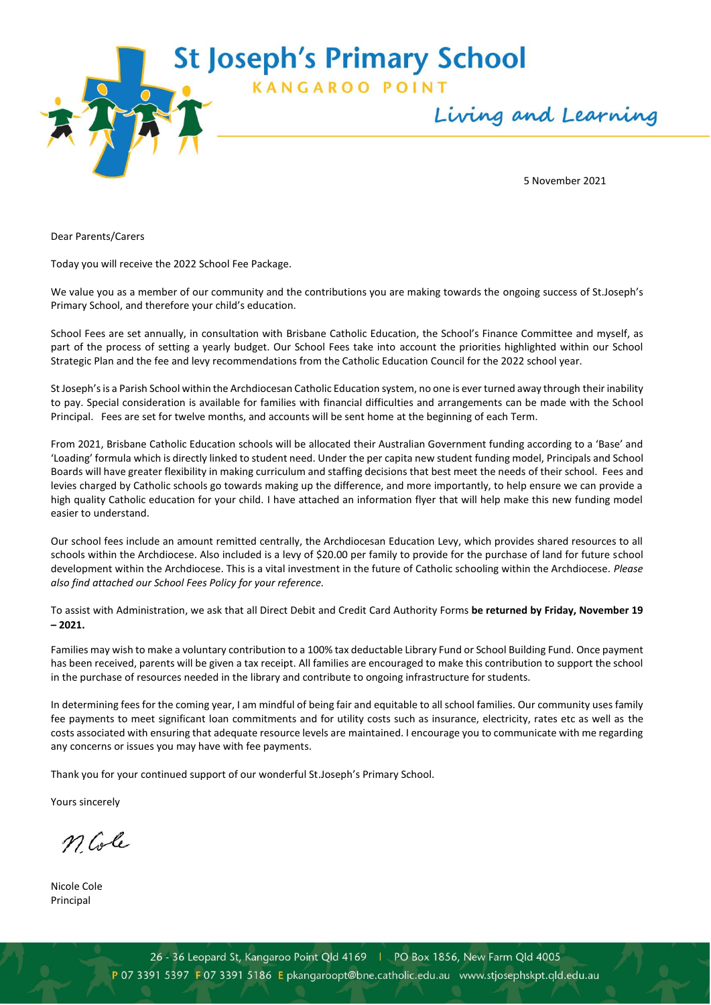

**KANGAROO POINT** 



5 November 2021

Dear Parents/Carers

Today you will receive the 2022 School Fee Package.

We value you as a member of our community and the contributions you are making towards the ongoing success of St.Joseph's Primary School, and therefore your child's education.

School Fees are set annually, in consultation with Brisbane Catholic Education, the School's Finance Committee and myself, as part of the process of setting a yearly budget. Our School Fees take into account the priorities highlighted within our School Strategic Plan and the fee and levy recommendations from the Catholic Education Council for the 2022 school year.

St Joseph's is a Parish School within the Archdiocesan Catholic Education system, no one is ever turned away through their inability to pay. Special consideration is available for families with financial difficulties and arrangements can be made with the School Principal. Fees are set for twelve months, and accounts will be sent home at the beginning of each Term.

From 2021, Brisbane Catholic Education schools will be allocated their Australian Government funding according to a 'Base' and 'Loading' formula which is directly linked to student need. Under the per capita new student funding model, Principals and School Boards will have greater flexibility in making curriculum and staffing decisions that best meet the needs of their school. Fees and levies charged by Catholic schools go towards making up the difference, and more importantly, to help ensure we can provide a high quality Catholic education for your child. I have attached an information flyer that will help make this new funding model easier to understand.

Our school fees include an amount remitted centrally, the Archdiocesan Education Levy, which provides shared resources to all schools within the Archdiocese. Also included is a levy of \$20.00 per family to provide for the purchase of land for future school development within the Archdiocese. This is a vital investment in the future of Catholic schooling within the Archdiocese. *Please also find attached our School Fees Policy for your reference.*

To assist with Administration, we ask that all Direct Debit and Credit Card Authority Forms **be returned by Friday, November 19 – 2021.**

Families may wish to make a voluntary contribution to a 100% tax deductable Library Fund or School Building Fund. Once payment has been received, parents will be given a tax receipt. All families are encouraged to make this contribution to support the school in the purchase of resources needed in the library and contribute to ongoing infrastructure for students.

In determining fees for the coming year, I am mindful of being fair and equitable to all school families. Our community uses family fee payments to meet significant loan commitments and for utility costs such as insurance, electricity, rates etc as well as the costs associated with ensuring that adequate resource levels are maintained. I encourage you to communicate with me regarding any concerns or issues you may have with fee payments.

Thank you for your continued support of our wonderful St.Joseph's Primary School.

Yours sincerely

n Cole

Nicole Cole Principal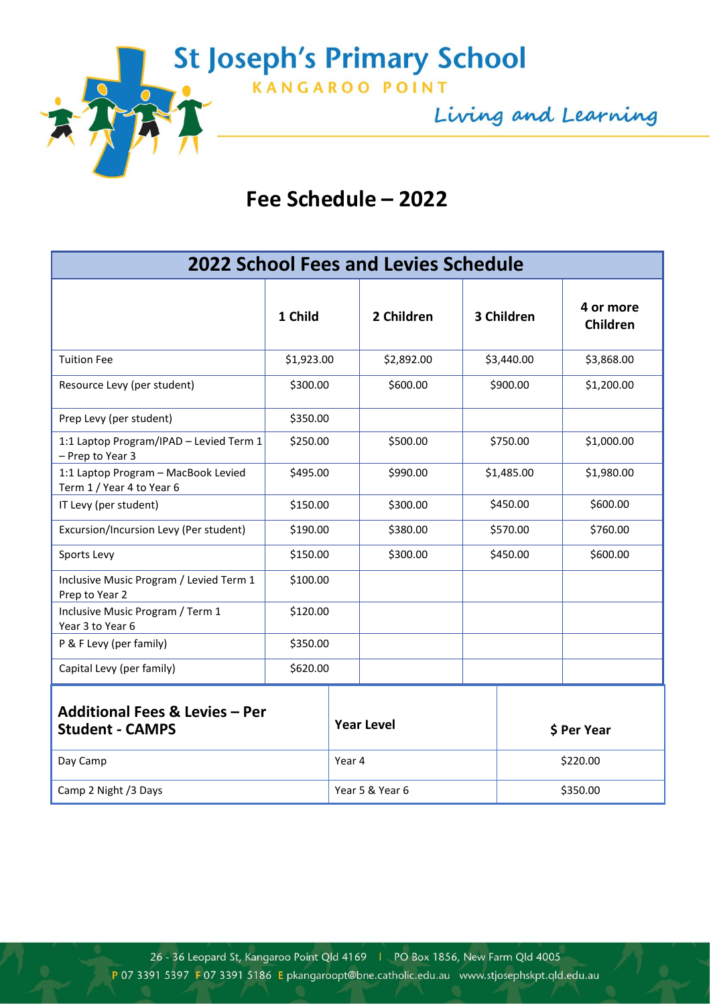

## **Fee Schedule – 2022**

| <b>2022 School Fees and Levies Schedule</b>                         |            |                   |            |             |            |                       |
|---------------------------------------------------------------------|------------|-------------------|------------|-------------|------------|-----------------------|
|                                                                     | 1 Child    |                   | 2 Children |             | 3 Children | 4 or more<br>Children |
| <b>Tuition Fee</b>                                                  | \$1,923.00 |                   | \$2,892.00 |             | \$3,440.00 | \$3,868.00            |
| Resource Levy (per student)                                         | \$300.00   |                   | \$600.00   |             | \$900.00   | \$1,200.00            |
| Prep Levy (per student)                                             | \$350.00   |                   |            |             |            |                       |
| 1:1 Laptop Program/IPAD - Levied Term 1<br>- Prep to Year 3         | \$250.00   |                   | \$500.00   |             | \$750.00   | \$1,000.00            |
| 1:1 Laptop Program - MacBook Levied<br>Term 1 / Year 4 to Year 6    | \$495.00   |                   | \$990.00   |             | \$1,485.00 | \$1,980.00            |
| IT Levy (per student)                                               | \$150.00   |                   | \$300.00   |             | \$450.00   | \$600.00              |
| Excursion/Incursion Levy (Per student)                              | \$190.00   |                   | \$380.00   |             | \$570.00   | \$760.00              |
| Sports Levy                                                         | \$150.00   |                   | \$300.00   |             | \$450.00   | \$600.00              |
| Inclusive Music Program / Levied Term 1<br>Prep to Year 2           | \$100.00   |                   |            |             |            |                       |
| Inclusive Music Program / Term 1<br>Year 3 to Year 6                | \$120.00   |                   |            |             |            |                       |
| P & F Levy (per family)                                             | \$350.00   |                   |            |             |            |                       |
| Capital Levy (per family)                                           | \$620.00   |                   |            |             |            |                       |
| <b>Additional Fees &amp; Levies - Per</b><br><b>Student - CAMPS</b> |            | <b>Year Level</b> |            | \$ Per Year |            |                       |
| Day Camp                                                            |            | Year 4            |            | \$220.00    |            |                       |
| Camp 2 Night /3 Days                                                |            | Year 5 & Year 6   |            |             | \$350.00   |                       |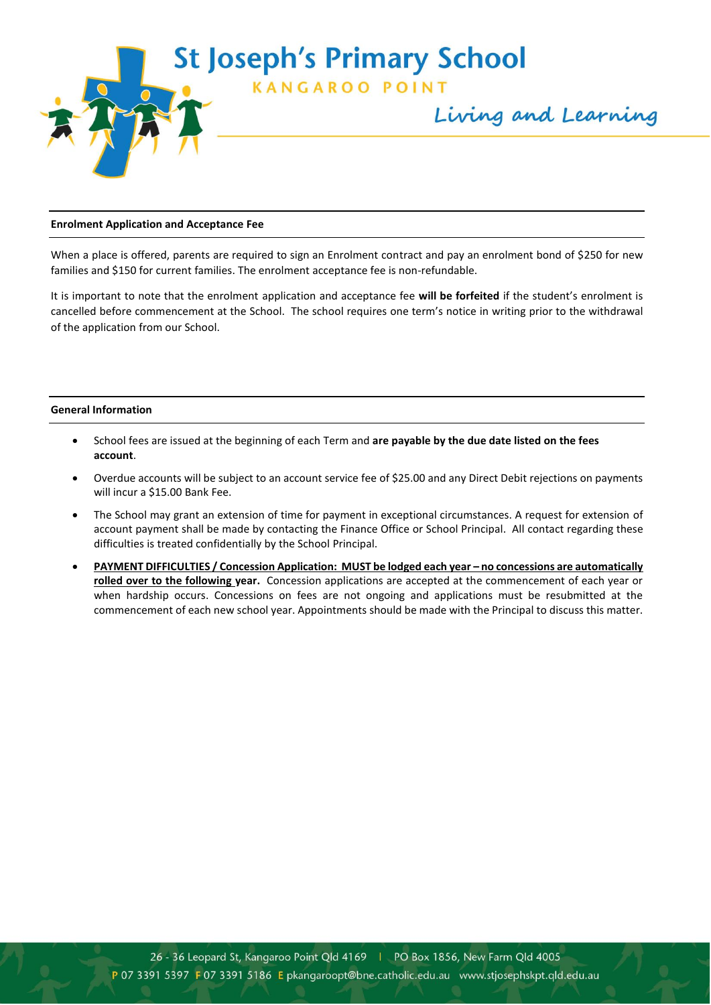

#### **Enrolment Application and Acceptance Fee**

When a place is offered, parents are required to sign an Enrolment contract and pay an enrolment bond of \$250 for new families and \$150 for current families. The enrolment acceptance fee is non-refundable.

It is important to note that the enrolment application and acceptance fee **will be forfeited** if the student's enrolment is cancelled before commencement at the School. The school requires one term's notice in writing prior to the withdrawal of the application from our School.

#### **General Information**

- School fees are issued at the beginning of each Term and **are payable by the due date listed on the fees account**.
- Overdue accounts will be subject to an account service fee of \$25.00 and any Direct Debit rejections on payments will incur a \$15.00 Bank Fee.
- The School may grant an extension of time for payment in exceptional circumstances. A request for extension of account payment shall be made by contacting the Finance Office or School Principal. All contact regarding these difficulties is treated confidentially by the School Principal.
- **PAYMENT DIFFICULTIES / Concession Application: MUST be lodged each year – no concessions are automatically rolled over to the following year.** Concession applications are accepted at the commencement of each year or when hardship occurs. Concessions on fees are not ongoing and applications must be resubmitted at the commencement of each new school year. Appointments should be made with the Principal to discuss this matter.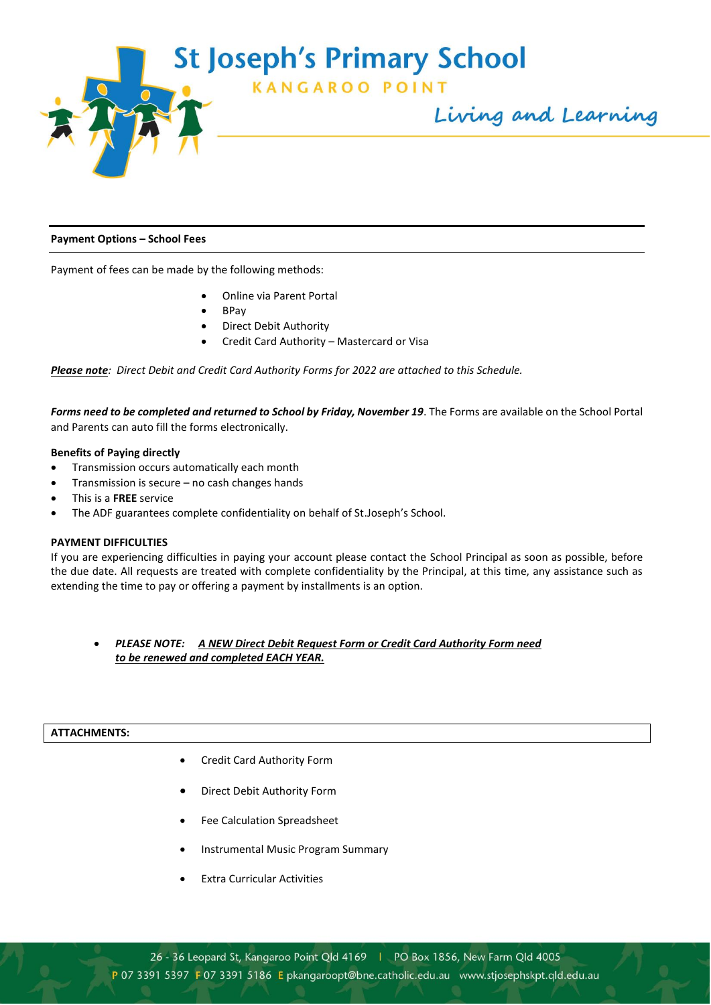

**KANGAROO POINT** 

## Living and Learning

#### **Payment Options – School Fees**

Payment of fees can be made by the following methods:

- Online via Parent Portal
- BPay
- Direct Debit Authority
- Credit Card Authority Mastercard or Visa

*Please note: Direct Debit and Credit Card Authority Forms for 2022 are attached to this Schedule.* 

*Forms need to be completed and returned to School by Friday, November 19*. The Forms are available on the School Portal and Parents can auto fill the forms electronically.

#### **Benefits of Paying directly**

- Transmission occurs automatically each month
- Transmission is secure  $-$  no cash changes hands
- This is a **FREE** service
- The ADF guarantees complete confidentiality on behalf of St.Joseph's School.

#### **PAYMENT DIFFICULTIES**

If you are experiencing difficulties in paying your account please contact the School Principal as soon as possible, before the due date. All requests are treated with complete confidentiality by the Principal, at this time, any assistance such as extending the time to pay or offering a payment by installments is an option.

#### • *PLEASE NOTE: A NEW Direct Debit Request Form or Credit Card Authority Form need to be renewed and completed EACH YEAR.*

#### **ATTACHMENTS:**

- Credit Card Authority Form
- Direct Debit Authority Form
- Fee Calculation Spreadsheet
- Instrumental Music Program Summary
- Extra Curricular Activities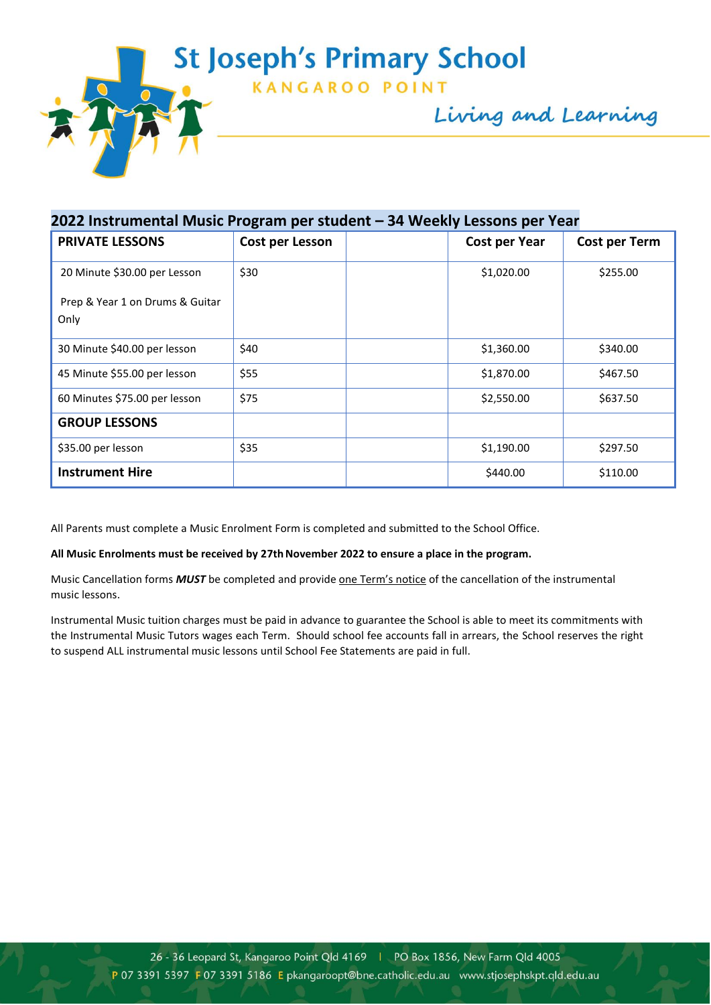# **St Joseph's Primary School** KANGAROO POINT Living and Learning

| 2022 Instrumental Music Program per student - 34 Weekly Lessons per Year |                        |  |                      |               |
|--------------------------------------------------------------------------|------------------------|--|----------------------|---------------|
| <b>PRIVATE LESSONS</b>                                                   | <b>Cost per Lesson</b> |  | <b>Cost per Year</b> | Cost per Term |
| 20 Minute \$30.00 per Lesson                                             | \$30                   |  | \$1,020.00           | \$255.00      |
| Prep & Year 1 on Drums & Guitar<br>Only                                  |                        |  |                      |               |
| 30 Minute \$40.00 per lesson                                             | \$40                   |  | \$1,360.00           | \$340.00      |
| 45 Minute \$55.00 per lesson                                             | \$55                   |  | \$1,870.00           | \$467.50      |
| 60 Minutes \$75.00 per lesson                                            | \$75                   |  | \$2,550.00           | \$637.50      |
| <b>GROUP LESSONS</b>                                                     |                        |  |                      |               |
| \$35.00 per lesson                                                       | \$35                   |  | \$1,190.00           | \$297.50      |
| <b>Instrument Hire</b>                                                   |                        |  | \$440.00             | \$110.00      |

All Parents must complete a Music Enrolment Form is completed and submitted to the School Office.

All Music Enrolments must be received by 27th November 2022 to ensure a place in the program.

Music Cancellation forms *MUST* be completed and provide one Term's notice of the cancellation of the instrumental music lessons.

Instrumental Music tuition charges must be paid in advance to guarantee the School is able to meet its commitments with the Instrumental Music Tutors wages each Term. Should school fee accounts fall in arrears, the School reserves the right to suspend ALL instrumental music lessons until School Fee Statements are paid in full.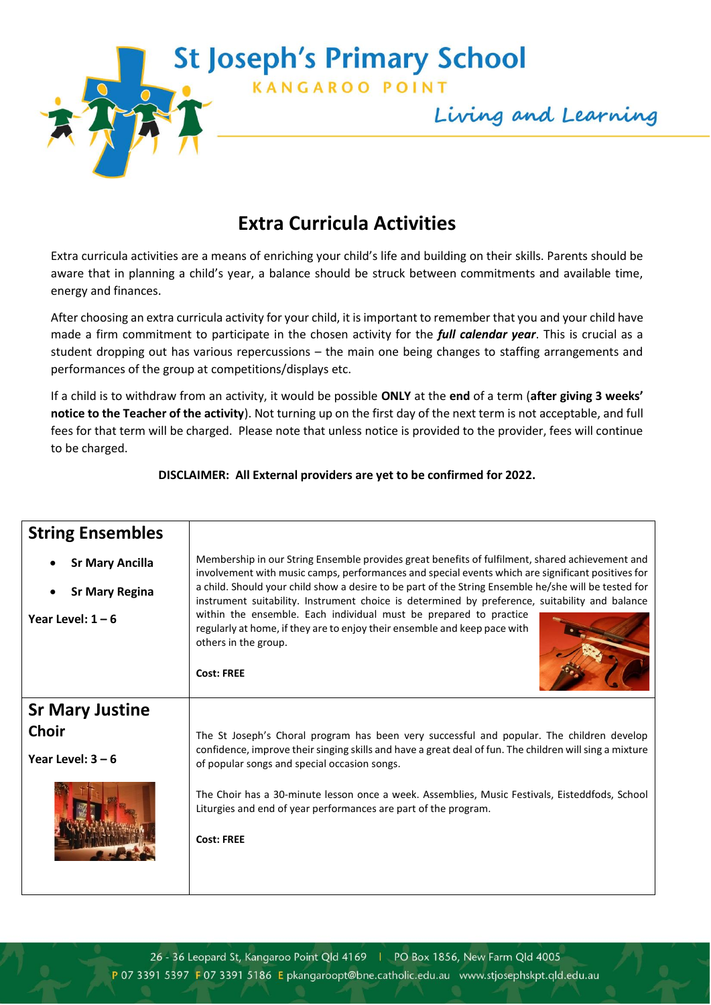

### **Extra Curricula Activities**

Extra curricula activities are a means of enriching your child's life and building on their skills. Parents should be aware that in planning a child's year, a balance should be struck between commitments and available time, energy and finances.

After choosing an extra curricula activity for your child, it is important to remember that you and your child have made a firm commitment to participate in the chosen activity for the *full calendar year*. This is crucial as a student dropping out has various repercussions – the main one being changes to staffing arrangements and performances of the group at competitions/displays etc.

If a child is to withdraw from an activity, it would be possible **ONLY** at the **end** of a term (**after giving 3 weeks' notice to the Teacher of the activity**). Not turning up on the first day of the next term is not acceptable, and full fees for that term will be charged. Please note that unless notice is provided to the provider, fees will continue to be charged.

| <b>String Ensembles</b> |                                                                                                                                                                                                        |
|-------------------------|--------------------------------------------------------------------------------------------------------------------------------------------------------------------------------------------------------|
| <b>Sr Mary Ancilla</b>  | Membership in our String Ensemble provides great benefits of fulfilment, shared achievement and<br>involvement with music camps, performances and special events which are significant positives for   |
| <b>Sr Mary Regina</b>   | a child. Should your child show a desire to be part of the String Ensemble he/she will be tested for<br>instrument suitability. Instrument choice is determined by preference, suitability and balance |
| Year Level: $1-6$       | within the ensemble. Each individual must be prepared to practice<br>regularly at home, if they are to enjoy their ensemble and keep pace with<br>others in the group.                                 |
|                         | <b>Cost: FREE</b>                                                                                                                                                                                      |
| <b>Sr Mary Justine</b>  |                                                                                                                                                                                                        |
| <b>Choir</b>            | The St Joseph's Choral program has been very successful and popular. The children develop                                                                                                              |
| Year Level: $3 - 6$     | confidence, improve their singing skills and have a great deal of fun. The children will sing a mixture<br>of popular songs and special occasion songs.                                                |
|                         | The Choir has a 30-minute lesson once a week. Assemblies, Music Festivals, Eisteddfods, School<br>Liturgies and end of year performances are part of the program.<br><b>Cost: FREE</b>                 |
|                         |                                                                                                                                                                                                        |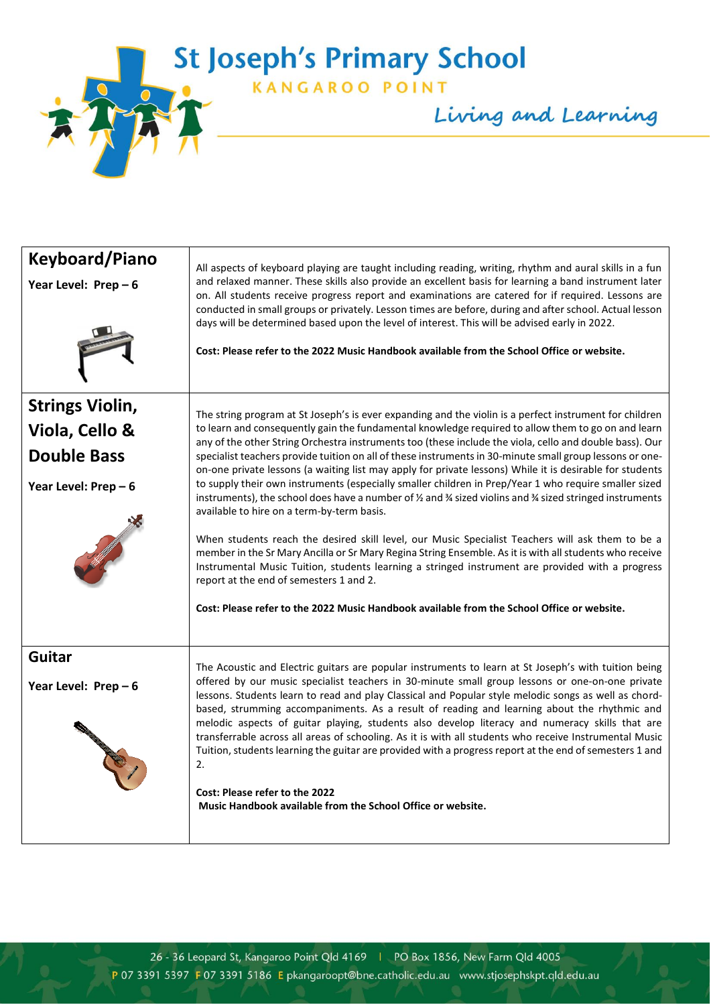KANGAROO POINT

Living and Learning

| <b>Keyboard/Piano</b><br>Year Level: Prep-6                                            | All aspects of keyboard playing are taught including reading, writing, rhythm and aural skills in a fun<br>and relaxed manner. These skills also provide an excellent basis for learning a band instrument later<br>on. All students receive progress report and examinations are catered for if required. Lessons are<br>conducted in small groups or privately. Lesson times are before, during and after school. Actual lesson<br>days will be determined based upon the level of interest. This will be advised early in 2022.<br>Cost: Please refer to the 2022 Music Handbook available from the School Office or website.                                                                                                                                                                                                                                                                                                                                                                                                                                                                                                                                                                                                                                                                                 |
|----------------------------------------------------------------------------------------|------------------------------------------------------------------------------------------------------------------------------------------------------------------------------------------------------------------------------------------------------------------------------------------------------------------------------------------------------------------------------------------------------------------------------------------------------------------------------------------------------------------------------------------------------------------------------------------------------------------------------------------------------------------------------------------------------------------------------------------------------------------------------------------------------------------------------------------------------------------------------------------------------------------------------------------------------------------------------------------------------------------------------------------------------------------------------------------------------------------------------------------------------------------------------------------------------------------------------------------------------------------------------------------------------------------|
| <b>Strings Violin,</b><br>Viola, Cello &<br><b>Double Bass</b><br>Year Level: Prep - 6 | The string program at St Joseph's is ever expanding and the violin is a perfect instrument for children<br>to learn and consequently gain the fundamental knowledge required to allow them to go on and learn<br>any of the other String Orchestra instruments too (these include the viola, cello and double bass). Our<br>specialist teachers provide tuition on all of these instruments in 30-minute small group lessons or one-<br>on-one private lessons (a waiting list may apply for private lessons) While it is desirable for students<br>to supply their own instruments (especially smaller children in Prep/Year 1 who require smaller sized<br>instruments), the school does have a number of $\frac{1}{2}$ and $\frac{1}{2}$ sized violins and $\frac{1}{2}$ sized stringed instruments<br>available to hire on a term-by-term basis.<br>When students reach the desired skill level, our Music Specialist Teachers will ask them to be a<br>member in the Sr Mary Ancilla or Sr Mary Regina String Ensemble. As it is with all students who receive<br>Instrumental Music Tuition, students learning a stringed instrument are provided with a progress<br>report at the end of semesters 1 and 2.<br>Cost: Please refer to the 2022 Music Handbook available from the School Office or website. |
| Guitar<br>Year Level: $Prep - 6$                                                       | The Acoustic and Electric guitars are popular instruments to learn at St Joseph's with tuition being<br>offered by our music specialist teachers in 30-minute small group lessons or one-on-one private<br>lessons. Students learn to read and play Classical and Popular style melodic songs as well as chord-<br>based, strumming accompaniments. As a result of reading and learning about the rhythmic and<br>melodic aspects of guitar playing, students also develop literacy and numeracy skills that are<br>transferrable across all areas of schooling. As it is with all students who receive Instrumental Music<br>Tuition, students learning the guitar are provided with a progress report at the end of semesters 1 and<br>2.<br>Cost: Please refer to the 2022<br>Music Handbook available from the School Office or website.                                                                                                                                                                                                                                                                                                                                                                                                                                                                     |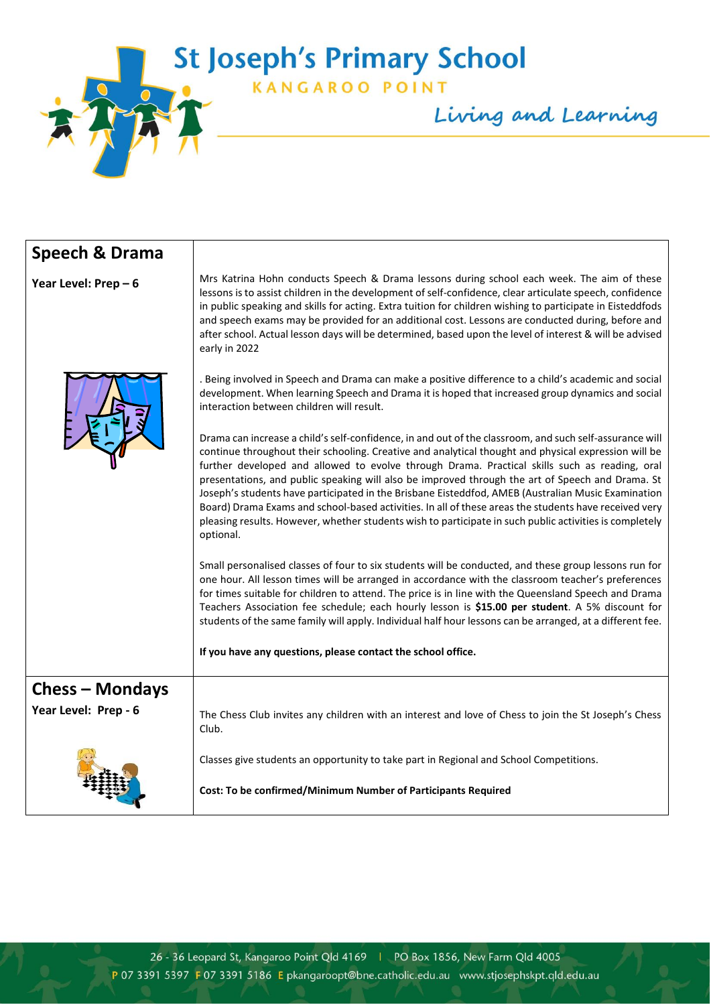KANGAROO POINT

Living and Learning

| <b>Speech &amp; Drama</b> |                                                                                                                                                                                                                                                                                                                                                                                                                                                                                                                                                                                                                                                                                                                                                             |
|---------------------------|-------------------------------------------------------------------------------------------------------------------------------------------------------------------------------------------------------------------------------------------------------------------------------------------------------------------------------------------------------------------------------------------------------------------------------------------------------------------------------------------------------------------------------------------------------------------------------------------------------------------------------------------------------------------------------------------------------------------------------------------------------------|
| Year Level: $Prep - 6$    | Mrs Katrina Hohn conducts Speech & Drama lessons during school each week. The aim of these<br>lessons is to assist children in the development of self-confidence, clear articulate speech, confidence<br>in public speaking and skills for acting. Extra tuition for children wishing to participate in Eisteddfods<br>and speech exams may be provided for an additional cost. Lessons are conducted during, before and<br>after school. Actual lesson days will be determined, based upon the level of interest & will be advised<br>early in 2022                                                                                                                                                                                                       |
|                           | . Being involved in Speech and Drama can make a positive difference to a child's academic and social<br>development. When learning Speech and Drama it is hoped that increased group dynamics and social<br>interaction between children will result.                                                                                                                                                                                                                                                                                                                                                                                                                                                                                                       |
|                           | Drama can increase a child's self-confidence, in and out of the classroom, and such self-assurance will<br>continue throughout their schooling. Creative and analytical thought and physical expression will be<br>further developed and allowed to evolve through Drama. Practical skills such as reading, oral<br>presentations, and public speaking will also be improved through the art of Speech and Drama. St<br>Joseph's students have participated in the Brisbane Eisteddfod, AMEB (Australian Music Examination<br>Board) Drama Exams and school-based activities. In all of these areas the students have received very<br>pleasing results. However, whether students wish to participate in such public activities is completely<br>optional. |
|                           | Small personalised classes of four to six students will be conducted, and these group lessons run for<br>one hour. All lesson times will be arranged in accordance with the classroom teacher's preferences<br>for times suitable for children to attend. The price is in line with the Queensland Speech and Drama<br>Teachers Association fee schedule; each hourly lesson is \$15.00 per student. A 5% discount for<br>students of the same family will apply. Individual half hour lessons can be arranged, at a different fee.                                                                                                                                                                                                                         |
|                           | If you have any questions, please contact the school office.                                                                                                                                                                                                                                                                                                                                                                                                                                                                                                                                                                                                                                                                                                |
| <b>Chess - Mondays</b>    |                                                                                                                                                                                                                                                                                                                                                                                                                                                                                                                                                                                                                                                                                                                                                             |
| Year Level: Prep - 6      | The Chess Club invites any children with an interest and love of Chess to join the St Joseph's Chess<br>Club.                                                                                                                                                                                                                                                                                                                                                                                                                                                                                                                                                                                                                                               |
|                           | Classes give students an opportunity to take part in Regional and School Competitions.                                                                                                                                                                                                                                                                                                                                                                                                                                                                                                                                                                                                                                                                      |
|                           | Cost: To be confirmed/Minimum Number of Participants Required                                                                                                                                                                                                                                                                                                                                                                                                                                                                                                                                                                                                                                                                                               |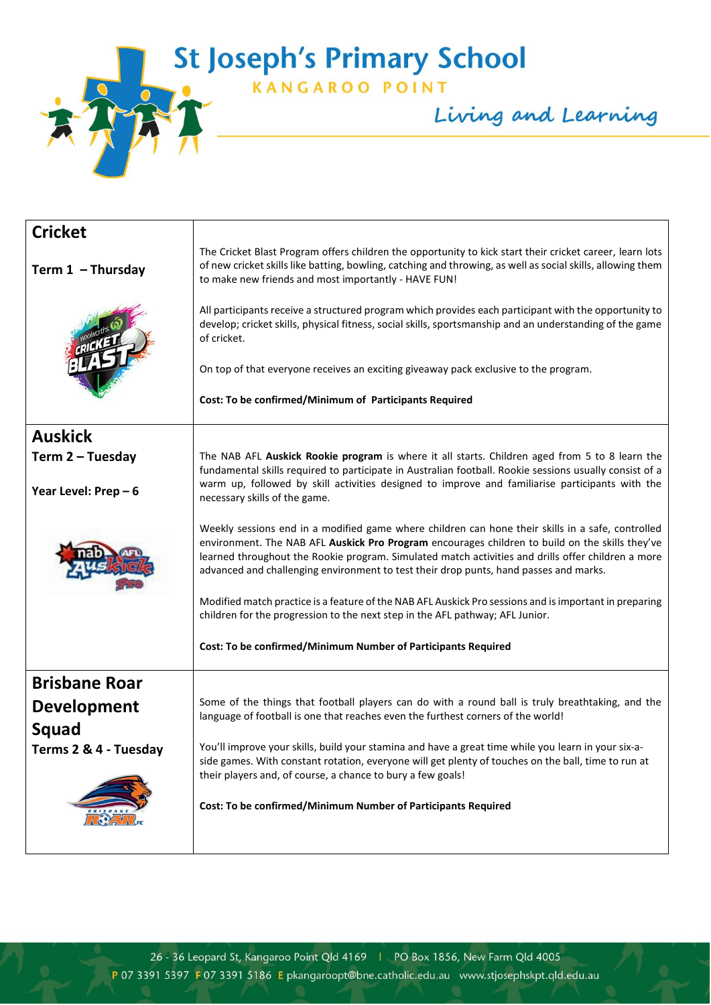

| <b>Cricket</b>         |                                                                                                                                                                                                                                                                                                                                                                                                     |
|------------------------|-----------------------------------------------------------------------------------------------------------------------------------------------------------------------------------------------------------------------------------------------------------------------------------------------------------------------------------------------------------------------------------------------------|
| Term $1 -$ Thursday    | The Cricket Blast Program offers children the opportunity to kick start their cricket career, learn lots<br>of new cricket skills like batting, bowling, catching and throwing, as well as social skills, allowing them<br>to make new friends and most importantly - HAVE FUN!                                                                                                                     |
|                        | All participants receive a structured program which provides each participant with the opportunity to<br>develop; cricket skills, physical fitness, social skills, sportsmanship and an understanding of the game<br>of cricket.                                                                                                                                                                    |
|                        | On top of that everyone receives an exciting giveaway pack exclusive to the program.                                                                                                                                                                                                                                                                                                                |
|                        | Cost: To be confirmed/Minimum of Participants Required                                                                                                                                                                                                                                                                                                                                              |
| <b>Auskick</b>         |                                                                                                                                                                                                                                                                                                                                                                                                     |
| Term 2 - Tuesday       | The NAB AFL Auskick Rookie program is where it all starts. Children aged from 5 to 8 learn the<br>fundamental skills required to participate in Australian football. Rookie sessions usually consist of a                                                                                                                                                                                           |
| Year Level: $Prep - 6$ | warm up, followed by skill activities designed to improve and familiarise participants with the<br>necessary skills of the game.                                                                                                                                                                                                                                                                    |
|                        | Weekly sessions end in a modified game where children can hone their skills in a safe, controlled<br>environment. The NAB AFL Auskick Pro Program encourages children to build on the skills they've<br>learned throughout the Rookie program. Simulated match activities and drills offer children a more<br>advanced and challenging environment to test their drop punts, hand passes and marks. |
|                        | Modified match practice is a feature of the NAB AFL Auskick Pro sessions and is important in preparing<br>children for the progression to the next step in the AFL pathway; AFL Junior.                                                                                                                                                                                                             |
|                        | Cost: To be confirmed/Minimum Number of Participants Required                                                                                                                                                                                                                                                                                                                                       |
| <b>Brisbane Roar</b>   |                                                                                                                                                                                                                                                                                                                                                                                                     |
| <b>Development</b>     | Some of the things that football players can do with a round ball is truly breathtaking, and the                                                                                                                                                                                                                                                                                                    |
| Squad                  | language of football is one that reaches even the furthest corners of the world!                                                                                                                                                                                                                                                                                                                    |
| Terms 2 & 4 - Tuesday  | You'll improve your skills, build your stamina and have a great time while you learn in your six-a-                                                                                                                                                                                                                                                                                                 |
|                        | side games. With constant rotation, everyone will get plenty of touches on the ball, time to run at                                                                                                                                                                                                                                                                                                 |
|                        | their players and, of course, a chance to bury a few goals!                                                                                                                                                                                                                                                                                                                                         |
|                        | Cost: To be confirmed/Minimum Number of Participants Required                                                                                                                                                                                                                                                                                                                                       |
|                        |                                                                                                                                                                                                                                                                                                                                                                                                     |